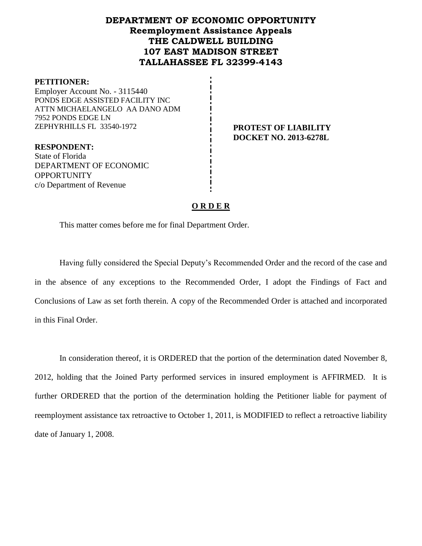# **DEPARTMENT OF ECONOMIC OPPORTUNITY Reemployment Assistance Appeals THE CALDWELL BUILDING 107 EAST MADISON STREET TALLAHASSEE FL 32399-4143**

#### **PETITIONER:**

Employer Account No. - 3115440 PONDS EDGE ASSISTED FACILITY INC ATTN MICHAELANGELO AA DANO ADM 7952 PONDS EDGE LN ZEPHYRHILLS FL 33540-1972 **PROTEST OF LIABILITY**

**RESPONDENT:** State of Florida DEPARTMENT OF ECONOMIC **OPPORTUNITY** c/o Department of Revenue

**DOCKET NO. 2013-6278L**

### **O R D E R**

This matter comes before me for final Department Order.

Having fully considered the Special Deputy's Recommended Order and the record of the case and in the absence of any exceptions to the Recommended Order, I adopt the Findings of Fact and Conclusions of Law as set forth therein. A copy of the Recommended Order is attached and incorporated in this Final Order.

In consideration thereof, it is ORDERED that the portion of the determination dated November 8, 2012, holding that the Joined Party performed services in insured employment is AFFIRMED. It is further ORDERED that the portion of the determination holding the Petitioner liable for payment of reemployment assistance tax retroactive to October 1, 2011, is MODIFIED to reflect a retroactive liability date of January 1, 2008.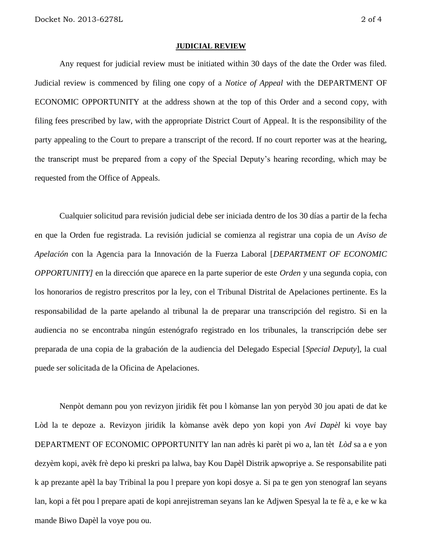#### **JUDICIAL REVIEW**

Any request for judicial review must be initiated within 30 days of the date the Order was filed. Judicial review is commenced by filing one copy of a *Notice of Appeal* with the DEPARTMENT OF ECONOMIC OPPORTUNITY at the address shown at the top of this Order and a second copy, with filing fees prescribed by law, with the appropriate District Court of Appeal. It is the responsibility of the party appealing to the Court to prepare a transcript of the record. If no court reporter was at the hearing, the transcript must be prepared from a copy of the Special Deputy's hearing recording, which may be requested from the Office of Appeals.

Cualquier solicitud para revisión judicial debe ser iniciada dentro de los 30 días a partir de la fecha en que la Orden fue registrada. La revisión judicial se comienza al registrar una copia de un *Aviso de Apelación* con la Agencia para la Innovación de la Fuerza Laboral [*DEPARTMENT OF ECONOMIC OPPORTUNITY]* en la dirección que aparece en la parte superior de este *Orden* y una segunda copia, con los honorarios de registro prescritos por la ley, con el Tribunal Distrital de Apelaciones pertinente. Es la responsabilidad de la parte apelando al tribunal la de preparar una transcripción del registro. Si en la audiencia no se encontraba ningún estenógrafo registrado en los tribunales, la transcripción debe ser preparada de una copia de la grabación de la audiencia del Delegado Especial [*Special Deputy*], la cual puede ser solicitada de la Oficina de Apelaciones.

Nenpòt demann pou yon revizyon jiridik fèt pou l kòmanse lan yon peryòd 30 jou apati de dat ke Lòd la te depoze a. Revizyon jiridik la kòmanse avèk depo yon kopi yon *Avi Dapèl* ki voye bay DEPARTMENT OF ECONOMIC OPPORTUNITY lan nan adrès ki parèt pi wo a, lan tèt *Lòd* sa a e yon dezyèm kopi, avèk frè depo ki preskri pa lalwa, bay Kou Dapèl Distrik apwopriye a. Se responsabilite pati k ap prezante apèl la bay Tribinal la pou l prepare yon kopi dosye a. Si pa te gen yon stenograf lan seyans lan, kopi a fèt pou l prepare apati de kopi anrejistreman seyans lan ke Adjwen Spesyal la te fè a, e ke w ka mande Biwo Dapèl la voye pou ou.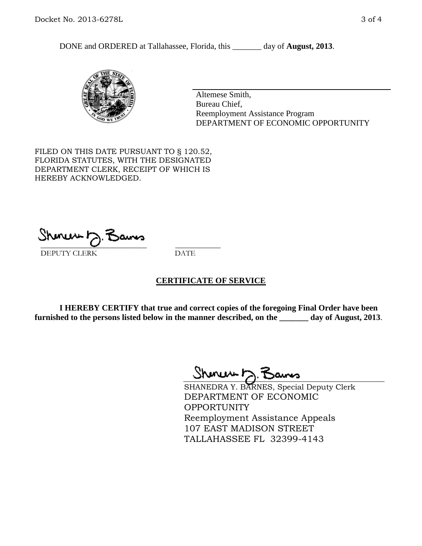DONE and ORDERED at Tallahassee, Florida, this \_\_\_\_\_\_\_ day of **August, 2013**.



Altemese Smith, Bureau Chief, Reemployment Assistance Program DEPARTMENT OF ECONOMIC OPPORTUNITY

FILED ON THIS DATE PURSUANT TO § 120.52, FLORIDA STATUTES, WITH THE DESIGNATED DEPARTMENT CLERK, RECEIPT OF WHICH IS HEREBY ACKNOWLEDGED.

 $\overline{\phantom{a}}$  ,  $\overline{\phantom{a}}$  ,  $\overline{\phantom{a}}$  ,  $\overline{\phantom{a}}$  ,  $\overline{\phantom{a}}$  ,  $\overline{\phantom{a}}$  ,  $\overline{\phantom{a}}$  ,  $\overline{\phantom{a}}$ DEPUTY CLERK DATE

#### **CERTIFICATE OF SERVICE**

**I HEREBY CERTIFY that true and correct copies of the foregoing Final Order have been furnished to the persons listed below in the manner described, on the \_\_\_\_\_\_\_ day of August, 2013**.

Shenux D.F

SHANEDRA Y. BARNES, Special Deputy Clerk DEPARTMENT OF ECONOMIC **OPPORTUNITY** Reemployment Assistance Appeals 107 EAST MADISON STREET TALLAHASSEE FL 32399-4143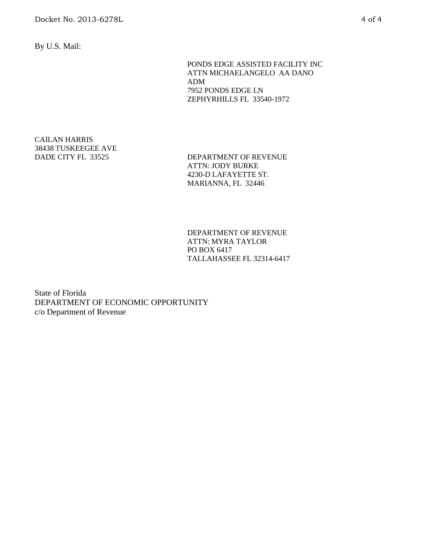By U.S. Mail:

PONDS EDGE ASSISTED FACILITY INC ATTN MICHAELANGELO AA DANO ADM 7952 PONDS EDGE LN ZEPHYRHILLS FL 33540-1972

# CAILAN HARRIS 38438 TUSKEEGEE AVE

DADE CITY FL 33525 DEPARTMENT OF REVENUE ATTN: JODY BURKE 4230-D LAFAYETTE ST. MARIANNA, FL 32446

> DEPARTMENT OF REVENUE ATTN: MYRA TAYLOR PO BOX 6417 TALLAHASSEE FL 32314-6417

State of Florida DEPARTMENT OF ECONOMIC OPPORTUNITY c/o Department of Revenue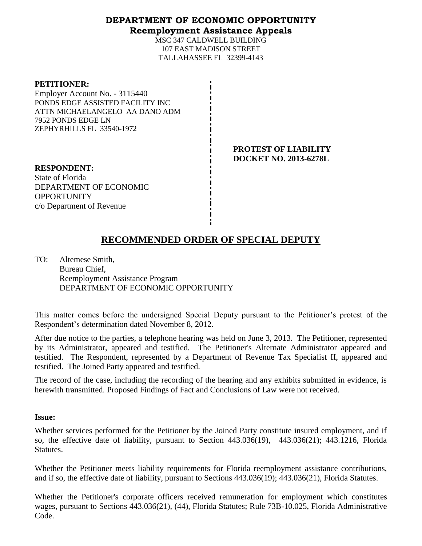#### **DEPARTMENT OF ECONOMIC OPPORTUNITY Reemployment Assistance Appeals**

MSC 347 CALDWELL BUILDING 107 EAST MADISON STREET TALLAHASSEE FL 32399-4143

| <b>PETITIONER:</b><br>Employer Account No. - 3115440<br>PONDS EDGE ASSISTED FACILITY INC<br>ATTN MICHAELANGELO AA DANO ADM<br>7952 PONDS EDGE LN<br>ZEPHYRHILLS FL 33540-1972 |  |
|-------------------------------------------------------------------------------------------------------------------------------------------------------------------------------|--|
| <b>RESPONDENT:</b><br>State of Florida                                                                                                                                        |  |

DEPARTMENT OF ECONOMIC

c/o Department of Revenue

**OPPORTUNITY** 

**PROTEST OF LIABILITY DOCKET NO. 2013-6278L**

**RECOMMENDED ORDER OF SPECIAL DEPUTY**

TO: Altemese Smith, Bureau Chief, Reemployment Assistance Program DEPARTMENT OF ECONOMIC OPPORTUNITY

This matter comes before the undersigned Special Deputy pursuant to the Petitioner's protest of the Respondent's determination dated November 8, 2012.

After due notice to the parties, a telephone hearing was held on June 3, 2013. The Petitioner, represented by its Administrator, appeared and testified. The Petitioner's Alternate Administrator appeared and testified. The Respondent, represented by a Department of Revenue Tax Specialist II, appeared and testified. The Joined Party appeared and testified.

The record of the case, including the recording of the hearing and any exhibits submitted in evidence, is herewith transmitted. Proposed Findings of Fact and Conclusions of Law were not received.

#### **Issue:**

Whether services performed for the Petitioner by the Joined Party constitute insured employment, and if so, the effective date of liability, pursuant to Section 443.036(19), 443.036(21); 443.1216, Florida Statutes.

Whether the Petitioner meets liability requirements for Florida reemployment assistance contributions, and if so, the effective date of liability, pursuant to Sections 443.036(19); 443.036(21), Florida Statutes.

Whether the Petitioner's corporate officers received remuneration for employment which constitutes wages, pursuant to Sections 443.036(21), (44), Florida Statutes; Rule 73B-10.025, Florida Administrative Code.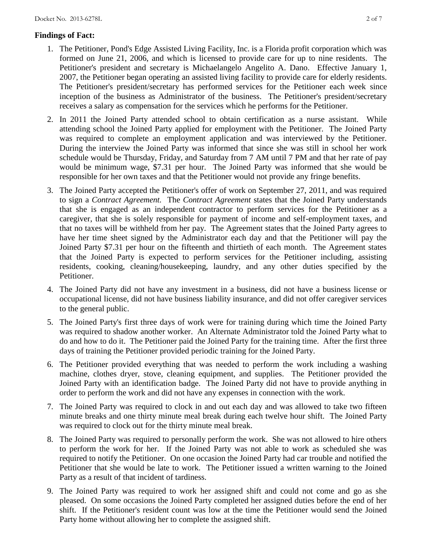## **Findings of Fact:**

- 1. The Petitioner, Pond's Edge Assisted Living Facility, Inc. is a Florida profit corporation which was formed on June 21, 2006, and which is licensed to provide care for up to nine residents. The Petitioner's president and secretary is Michaelangelo Angelito A. Dano. Effective January 1, 2007, the Petitioner began operating an assisted living facility to provide care for elderly residents. The Petitioner's president/secretary has performed services for the Petitioner each week since inception of the business as Administrator of the business. The Petitioner's president/secretary receives a salary as compensation for the services which he performs for the Petitioner.
- 2. In 2011 the Joined Party attended school to obtain certification as a nurse assistant. While attending school the Joined Party applied for employment with the Petitioner. The Joined Party was required to complete an employment application and was interviewed by the Petitioner. During the interview the Joined Party was informed that since she was still in school her work schedule would be Thursday, Friday, and Saturday from 7 AM until 7 PM and that her rate of pay would be minimum wage, \$7.31 per hour. The Joined Party was informed that she would be responsible for her own taxes and that the Petitioner would not provide any fringe benefits.
- 3. The Joined Party accepted the Petitioner's offer of work on September 27, 2011, and was required to sign a *Contract Agreement.* The *Contract Agreement* states that the Joined Party understands that she is engaged as an independent contractor to perform services for the Petitioner as a caregiver, that she is solely responsible for payment of income and self-employment taxes, and that no taxes will be withheld from her pay. The Agreement states that the Joined Party agrees to have her time sheet signed by the Administrator each day and that the Petitioner will pay the Joined Party \$7.31 per hour on the fifteenth and thirtieth of each month. The Agreement states that the Joined Party is expected to perform services for the Petitioner including, assisting residents, cooking, cleaning/housekeeping, laundry, and any other duties specified by the Petitioner.
- 4. The Joined Party did not have any investment in a business, did not have a business license or occupational license, did not have business liability insurance, and did not offer caregiver services to the general public.
- 5. The Joined Party's first three days of work were for training during which time the Joined Party was required to shadow another worker. An Alternate Administrator told the Joined Party what to do and how to do it. The Petitioner paid the Joined Party for the training time. After the first three days of training the Petitioner provided periodic training for the Joined Party.
- 6. The Petitioner provided everything that was needed to perform the work including a washing machine, clothes dryer, stove, cleaning equipment, and supplies. The Petitioner provided the Joined Party with an identification badge. The Joined Party did not have to provide anything in order to perform the work and did not have any expenses in connection with the work.
- 7. The Joined Party was required to clock in and out each day and was allowed to take two fifteen minute breaks and one thirty minute meal break during each twelve hour shift. The Joined Party was required to clock out for the thirty minute meal break.
- 8. The Joined Party was required to personally perform the work. She was not allowed to hire others to perform the work for her. If the Joined Party was not able to work as scheduled she was required to notify the Petitioner. On one occasion the Joined Party had car trouble and notified the Petitioner that she would be late to work. The Petitioner issued a written warning to the Joined Party as a result of that incident of tardiness.
- 9. The Joined Party was required to work her assigned shift and could not come and go as she pleased. On some occasions the Joined Party completed her assigned duties before the end of her shift. If the Petitioner's resident count was low at the time the Petitioner would send the Joined Party home without allowing her to complete the assigned shift.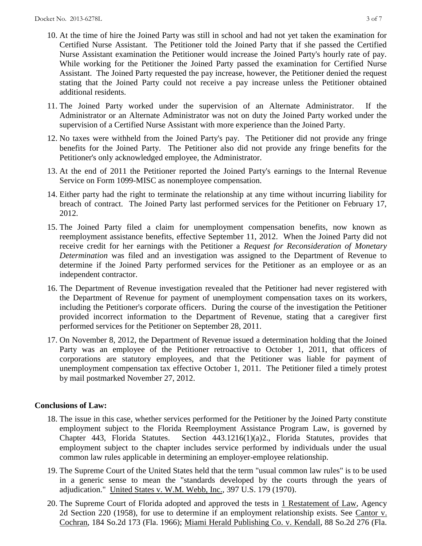- 10. At the time of hire the Joined Party was still in school and had not yet taken the examination for Certified Nurse Assistant. The Petitioner told the Joined Party that if she passed the Certified Nurse Assistant examination the Petitioner would increase the Joined Party's hourly rate of pay. While working for the Petitioner the Joined Party passed the examination for Certified Nurse Assistant. The Joined Party requested the pay increase, however, the Petitioner denied the request stating that the Joined Party could not receive a pay increase unless the Petitioner obtained additional residents.
- 11. The Joined Party worked under the supervision of an Alternate Administrator. If the Administrator or an Alternate Administrator was not on duty the Joined Party worked under the supervision of a Certified Nurse Assistant with more experience than the Joined Party.
- 12. No taxes were withheld from the Joined Party's pay. The Petitioner did not provide any fringe benefits for the Joined Party. The Petitioner also did not provide any fringe benefits for the Petitioner's only acknowledged employee, the Administrator.
- 13. At the end of 2011 the Petitioner reported the Joined Party's earnings to the Internal Revenue Service on Form 1099-MISC as nonemployee compensation.
- 14. Either party had the right to terminate the relationship at any time without incurring liability for breach of contract. The Joined Party last performed services for the Petitioner on February 17, 2012.
- 15. The Joined Party filed a claim for unemployment compensation benefits, now known as reemployment assistance benefits, effective September 11, 2012. When the Joined Party did not receive credit for her earnings with the Petitioner a *Request for Reconsideration of Monetary Determination* was filed and an investigation was assigned to the Department of Revenue to determine if the Joined Party performed services for the Petitioner as an employee or as an independent contractor.
- 16. The Department of Revenue investigation revealed that the Petitioner had never registered with the Department of Revenue for payment of unemployment compensation taxes on its workers, including the Petitioner's corporate officers. During the course of the investigation the Petitioner provided incorrect information to the Department of Revenue, stating that a caregiver first performed services for the Petitioner on September 28, 2011.
- 17. On November 8, 2012, the Department of Revenue issued a determination holding that the Joined Party was an employee of the Petitioner retroactive to October 1, 2011, that officers of corporations are statutory employees, and that the Petitioner was liable for payment of unemployment compensation tax effective October 1, 2011. The Petitioner filed a timely protest by mail postmarked November 27, 2012.

### **Conclusions of Law:**

- 18. The issue in this case, whether services performed for the Petitioner by the Joined Party constitute employment subject to the Florida Reemployment Assistance Program Law, is governed by Chapter 443, Florida Statutes. Section 443.1216(1)(a)2., Florida Statutes, provides that employment subject to the chapter includes service performed by individuals under the usual common law rules applicable in determining an employer-employee relationship.
- 19. The Supreme Court of the United States held that the term "usual common law rules" is to be used in a generic sense to mean the "standards developed by the courts through the years of adjudication." United States v. W.M. Webb, Inc., 397 U.S. 179 (1970).
- 20. The Supreme Court of Florida adopted and approved the tests in 1 Restatement of Law, Agency 2d Section 220 (1958), for use to determine if an employment relationship exists. See Cantor v. Cochran, 184 So.2d 173 (Fla. 1966); Miami Herald Publishing Co. v. Kendall, 88 So.2d 276 (Fla.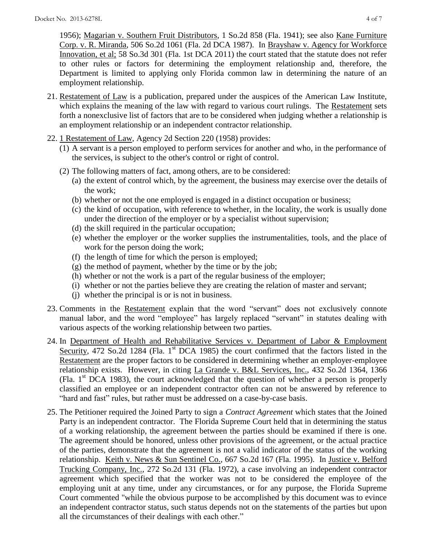1956); Magarian v. Southern Fruit Distributors, 1 So.2d 858 (Fla. 1941); see also Kane Furniture Corp. v. R. Miranda, 506 So.2d 1061 (Fla. 2d DCA 1987). In Brayshaw v. Agency for Workforce Innovation, et al; 58 So.3d 301 (Fla. 1st DCA 2011) the court stated that the statute does not refer to other rules or factors for determining the employment relationship and, therefore, the Department is limited to applying only Florida common law in determining the nature of an employment relationship.

- 21. Restatement of Law is a publication, prepared under the auspices of the American Law Institute, which explains the meaning of the law with regard to various court rulings. The Restatement sets forth a nonexclusive list of factors that are to be considered when judging whether a relationship is an employment relationship or an independent contractor relationship.
- 22. 1 Restatement of Law, Agency 2d Section 220 (1958) provides:
	- (1) A servant is a person employed to perform services for another and who, in the performance of the services, is subject to the other's control or right of control.
	- (2) The following matters of fact, among others, are to be considered:
		- (a) the extent of control which, by the agreement, the business may exercise over the details of the work;
		- (b) whether or not the one employed is engaged in a distinct occupation or business;
		- (c) the kind of occupation, with reference to whether, in the locality, the work is usually done under the direction of the employer or by a specialist without supervision;
		- (d) the skill required in the particular occupation;
		- (e) whether the employer or the worker supplies the instrumentalities, tools, and the place of work for the person doing the work;
		- (f) the length of time for which the person is employed;
		- $(g)$  the method of payment, whether by the time or by the job;
		- (h) whether or not the work is a part of the regular business of the employer;
		- (i) whether or not the parties believe they are creating the relation of master and servant;
		- (j) whether the principal is or is not in business.
- 23. Comments in the Restatement explain that the word "servant" does not exclusively connote manual labor, and the word "employee" has largely replaced "servant" in statutes dealing with various aspects of the working relationship between two parties.
- 24. In Department of Health and Rehabilitative Services v. Department of Labor & Employment Security, 472 So.2d 1284 (Fla. 1<sup>st</sup> DCA 1985) the court confirmed that the factors listed in the Restatement are the proper factors to be considered in determining whether an employer-employee relationship exists. However, in citing La Grande v. B&L Services, Inc., 432 So.2d 1364, 1366 (Fla.  $1<sup>st</sup> DCA$  1983), the court acknowledged that the question of whether a person is properly classified an employee or an independent contractor often can not be answered by reference to "hard and fast" rules, but rather must be addressed on a case-by-case basis.
- 25. The Petitioner required the Joined Party to sign a *Contract Agreement* which states that the Joined Party is an independent contractor. The Florida Supreme Court held that in determining the status of a working relationship, the agreement between the parties should be examined if there is one. The agreement should be honored, unless other provisions of the agreement, or the actual practice of the parties, demonstrate that the agreement is not a valid indicator of the status of the working relationship. Keith v. News & Sun Sentinel Co., 667 So.2d 167 (Fla. 1995). In Justice v. Belford Trucking Company, Inc., 272 So.2d 131 (Fla. 1972), a case involving an independent contractor agreement which specified that the worker was not to be considered the employee of the employing unit at any time, under any circumstances, or for any purpose, the Florida Supreme Court commented "while the obvious purpose to be accomplished by this document was to evince an independent contractor status, such status depends not on the statements of the parties but upon all the circumstances of their dealings with each other."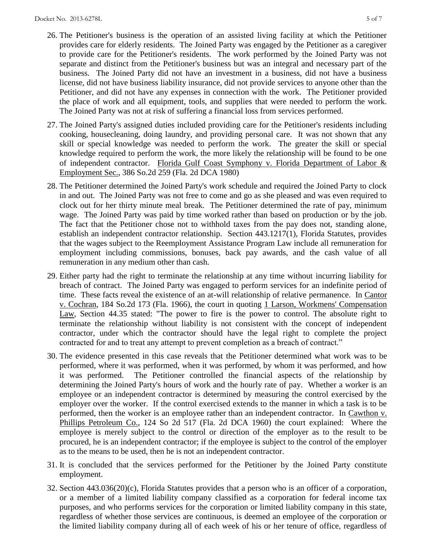- 26. The Petitioner's business is the operation of an assisted living facility at which the Petitioner provides care for elderly residents. The Joined Party was engaged by the Petitioner as a caregiver to provide care for the Petitioner's residents. The work performed by the Joined Party was not separate and distinct from the Petitioner's business but was an integral and necessary part of the business. The Joined Party did not have an investment in a business, did not have a business license, did not have business liability insurance, did not provide services to anyone other than the Petitioner, and did not have any expenses in connection with the work. The Petitioner provided the place of work and all equipment, tools, and supplies that were needed to perform the work. The Joined Party was not at risk of suffering a financial loss from services performed.
- 27. The Joined Party's assigned duties included providing care for the Petitioner's residents including cooking, housecleaning, doing laundry, and providing personal care. It was not shown that any skill or special knowledge was needed to perform the work. The greater the skill or special knowledge required to perform the work, the more likely the relationship will be found to be one of independent contractor. Florida Gulf Coast Symphony v. Florida Department of Labor & Employment Sec., 386 So.2d 259 (Fla. 2d DCA 1980)
- 28. The Petitioner determined the Joined Party's work schedule and required the Joined Party to clock in and out. The Joined Party was not free to come and go as she pleased and was even required to clock out for her thirty minute meal break. The Petitioner determined the rate of pay, minimum wage. The Joined Party was paid by time worked rather than based on production or by the job. The fact that the Petitioner chose not to withhold taxes from the pay does not, standing alone, establish an independent contractor relationship. Section 443.1217(1), Florida Statutes, provides that the wages subject to the Reemployment Assistance Program Law include all remuneration for employment including commissions, bonuses, back pay awards, and the cash value of all remuneration in any medium other than cash.
- 29. Either party had the right to terminate the relationship at any time without incurring liability for breach of contract. The Joined Party was engaged to perform services for an indefinite period of time. These facts reveal the existence of an at-will relationship of relative permanence. In Cantor v. Cochran, 184 So.2d 173 (Fla. 1966), the court in quoting 1 Larson, Workmens' Compensation Law, Section 44.35 stated: "The power to fire is the power to control. The absolute right to terminate the relationship without liability is not consistent with the concept of independent contractor, under which the contractor should have the legal right to complete the project contracted for and to treat any attempt to prevent completion as a breach of contract."
- 30. The evidence presented in this case reveals that the Petitioner determined what work was to be performed, where it was performed, when it was performed, by whom it was performed, and how it was performed. The Petitioner controlled the financial aspects of the relationship by determining the Joined Party's hours of work and the hourly rate of pay. Whether a worker is an employee or an independent contractor is determined by measuring the control exercised by the employer over the worker. If the control exercised extends to the manner in which a task is to be performed, then the worker is an employee rather than an independent contractor. In Cawthon v. Phillips Petroleum Co., 124 So 2d 517 (Fla. 2d DCA 1960) the court explained: Where the employee is merely subject to the control or direction of the employer as to the result to be procured, he is an independent contractor; if the employee is subject to the control of the employer as to the means to be used, then he is not an independent contractor.
- 31. It is concluded that the services performed for the Petitioner by the Joined Party constitute employment.
- 32. Section 443.036(20)(c), Florida Statutes provides that a person who is an officer of a corporation, or a member of a limited liability company classified as a corporation for federal income tax purposes, and who performs services for the corporation or limited liability company in this state, regardless of whether those services are continuous, is deemed an employee of the corporation or the limited liability company during all of each week of his or her tenure of office, regardless of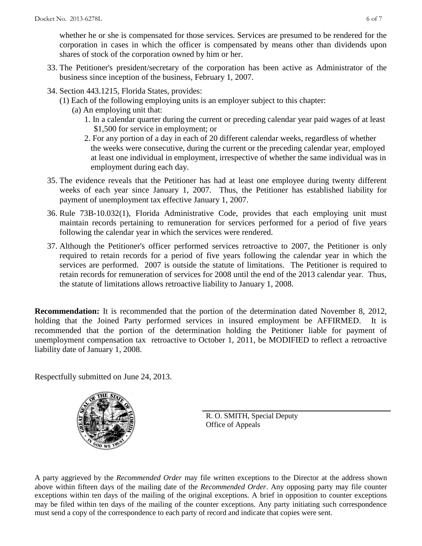whether he or she is compensated for those services. Services are presumed to be rendered for the corporation in cases in which the officer is compensated by means other than dividends upon shares of stock of the corporation owned by him or her.

- 33. The Petitioner's president/secretary of the corporation has been active as Administrator of the business since inception of the business, February 1, 2007.
- 34. Section 443.1215, Florida States, provides:
	- (1) Each of the following employing units is an employer subject to this chapter:
		- (a) An employing unit that:
			- 1. In a calendar quarter during the current or preceding calendar year paid wages of at least \$1,500 for service in employment; or
			- 2. For any portion of a day in each of 20 different calendar weeks, regardless of whether the weeks were consecutive, during the current or the preceding calendar year, employed at least one individual in employment, irrespective of whether the same individual was in employment during each day.
- 35. The evidence reveals that the Petitioner has had at least one employee during twenty different weeks of each year since January 1, 2007. Thus, the Petitioner has established liability for payment of unemployment tax effective January 1, 2007.
- 36. Rule 73B-10.032(1), Florida Administrative Code, provides that each employing unit must maintain records pertaining to remuneration for services performed for a period of five years following the calendar year in which the services were rendered.
- 37. Although the Petitioner's officer performed services retroactive to 2007, the Petitioner is only required to retain records for a period of five years following the calendar year in which the services are performed. 2007 is outside the statute of limitations. The Petitioner is required to retain records for remuneration of services for 2008 until the end of the 2013 calendar year. Thus, the statute of limitations allows retroactive liability to January 1, 2008.

**Recommendation:** It is recommended that the portion of the determination dated November 8, 2012, holding that the Joined Party performed services in insured employment be AFFIRMED. It is recommended that the portion of the determination holding the Petitioner liable for payment of unemployment compensation tax retroactive to October 1, 2011, be MODIFIED to reflect a retroactive liability date of January 1, 2008.

Respectfully submitted on June 24, 2013.



R. O. SMITH, Special Deputy Office of Appeals

A party aggrieved by the *Recommended Order* may file written exceptions to the Director at the address shown above within fifteen days of the mailing date of the *Recommended Order*. Any opposing party may file counter exceptions within ten days of the mailing of the original exceptions. A brief in opposition to counter exceptions may be filed within ten days of the mailing of the counter exceptions. Any party initiating such correspondence must send a copy of the correspondence to each party of record and indicate that copies were sent.